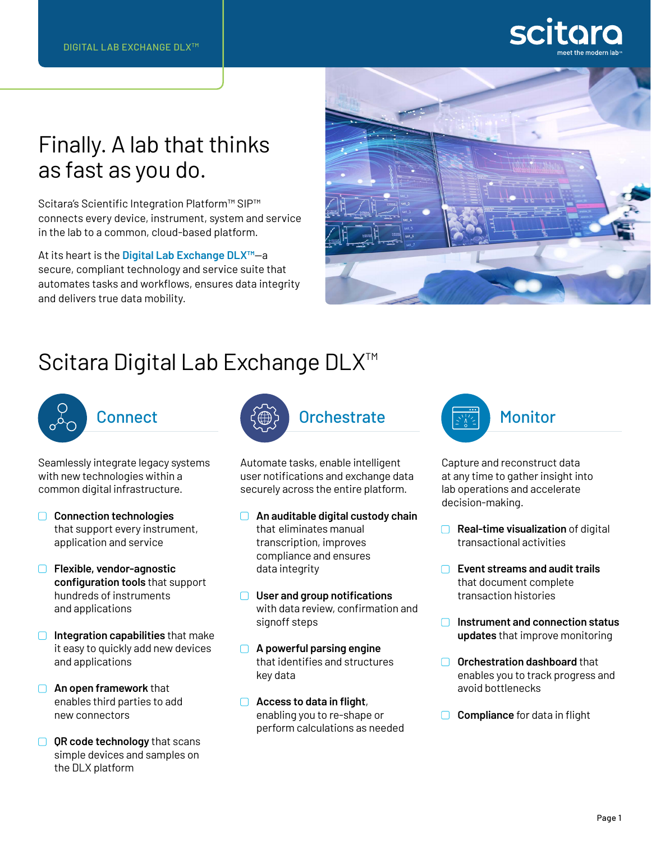# Finally. A lab that thinks as fast as you do.

Scitara's Scientific Integration Platform™ SIP™ connects every device, instrument, system and service in the lab to a common, cloud-based platform.

At its heart is the **Digital Lab Exchange DLX™**—a secure, compliant technology and service suite that automates tasks and workflows, ensures data integrity and delivers true data mobility.



# Scitara Digital Lab Exchange DLX<sup>™</sup>



# **Connect**

Seamlessly integrate legacy systems with new technologies within a common digital infrastructure.

- **Connection technologies** that support every instrument, application and service
- **Flexible, vendor-agnostic configuration tools** that support hundreds of instruments and applications
- **Integration capabilities** that make it easy to quickly add new devices and applications
- **An open framework** that enables third parties to add new connectors
- **QR code technology** that scans simple devices and samples on the DLX platform



Automate tasks, enable intelligent user notifications and exchange data securely across the entire platform.

- **An auditable digital custody chain** that eliminates manual transcription, improves compliance and ensures data integrity
- **User and group notifications** with data review, confirmation and signoff steps
- **A powerful parsing engine** that identifies and structures key data
- **Access to data in flight**, enabling you to re-shape or perform calculations as needed



Capture and reconstruct data at any time to gather insight into lab operations and accelerate decision-making.

- **Real-time visualization** of digital transactional activities
- **Event streams and audit trails** that document complete transaction histories
- **Instrument and connection status updates** that improve monitoring
- **O** Orchestration dashboard that enables you to track progress and avoid bottlenecks
- **□** Compliance for data in flight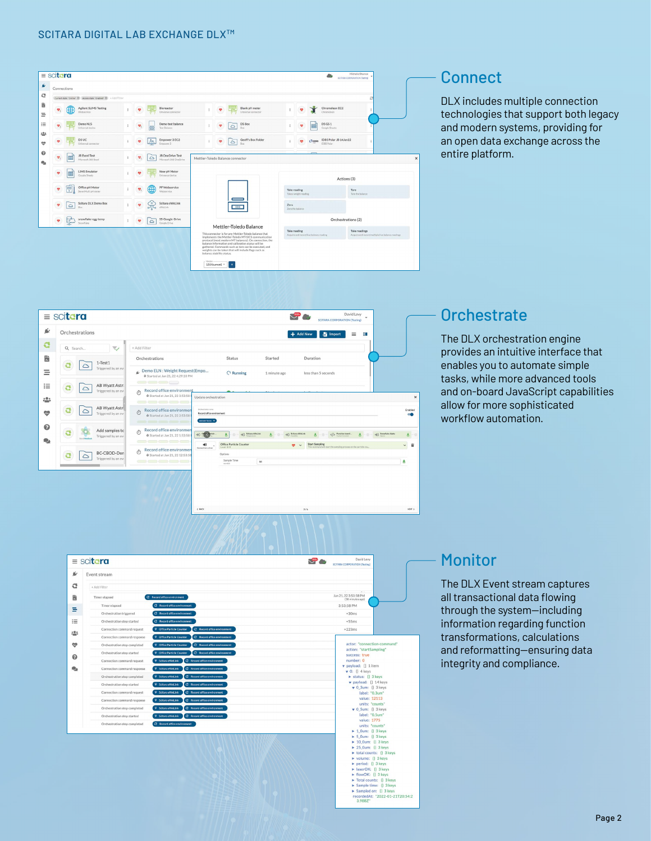



### **Orchestrate**

The DLX orchestration engine provides an intuitive interface that enables you to automate simple tasks, while more advanced tools and on-board JavaScript capabilities allow for more sophisticated workflow automation.



### **Monitor**

The DLX Event stream captures all transactional data flowing through the system—including information regarding function transformations, calculations and reformatting—ensuring data integrity and compliance.